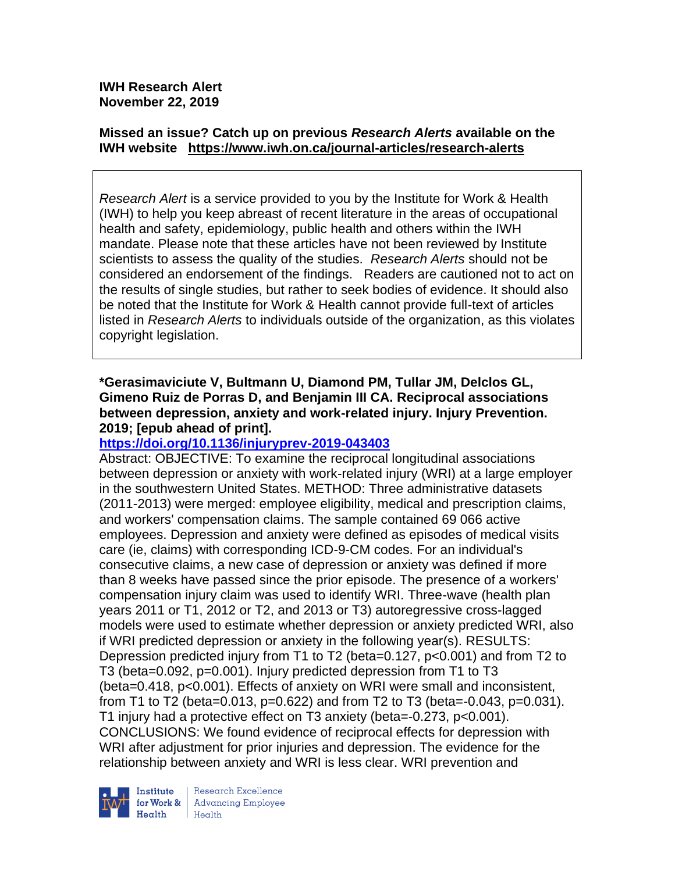**IWH Research Alert November 22, 2019**

### **Missed an issue? Catch up on previous** *Research Alerts* **available on the [IWH website](http://www.iwh.on.ca/research-alerts) <https://www.iwh.on.ca/journal-articles/research-alerts>**

*Research Alert* is a service provided to you by the Institute for Work & Health (IWH) to help you keep abreast of recent literature in the areas of occupational health and safety, epidemiology, public health and others within the IWH mandate. Please note that these articles have not been reviewed by Institute scientists to assess the quality of the studies. *Research Alerts* should not be considered an endorsement of the findings. Readers are cautioned not to act on the results of single studies, but rather to seek bodies of evidence. It should also be noted that the Institute for Work & Health cannot provide full-text of articles listed in *Research Alerts* to individuals outside of the organization, as this violates copyright legislation.

### **\*Gerasimaviciute V, Bultmann U, Diamond PM, Tullar JM, Delclos GL, Gimeno Ruiz de Porras D, and Benjamin III CA. Reciprocal associations between depression, anxiety and work-related injury. Injury Prevention. 2019; [epub ahead of print].**

### **<https://doi.org/10.1136/injuryprev-2019-043403>**

Abstract: OBJECTIVE: To examine the reciprocal longitudinal associations between depression or anxiety with work-related injury (WRI) at a large employer in the southwestern United States. METHOD: Three administrative datasets (2011-2013) were merged: employee eligibility, medical and prescription claims, and workers' compensation claims. The sample contained 69 066 active employees. Depression and anxiety were defined as episodes of medical visits care (ie, claims) with corresponding ICD-9-CM codes. For an individual's consecutive claims, a new case of depression or anxiety was defined if more than 8 weeks have passed since the prior episode. The presence of a workers' compensation injury claim was used to identify WRI. Three-wave (health plan years 2011 or T1, 2012 or T2, and 2013 or T3) autoregressive cross-lagged models were used to estimate whether depression or anxiety predicted WRI, also if WRI predicted depression or anxiety in the following year(s). RESULTS: Depression predicted injury from T1 to T2 (beta=0.127, p<0.001) and from T2 to T3 (beta=0.092, p=0.001). Injury predicted depression from T1 to T3 (beta=0.418, p<0.001). Effects of anxiety on WRI were small and inconsistent, from T1 to T2 (beta=0.013, p=0.622) and from T2 to T3 (beta=-0.043, p=0.031). T1 injury had a protective effect on T3 anxiety (beta=-0.273, p<0.001). CONCLUSIONS: We found evidence of reciprocal effects for depression with WRI after adjustment for prior injuries and depression. The evidence for the relationship between anxiety and WRI is less clear. WRI prevention and



Research Excellence **Advancing Employee**  $H_{\text{each}}$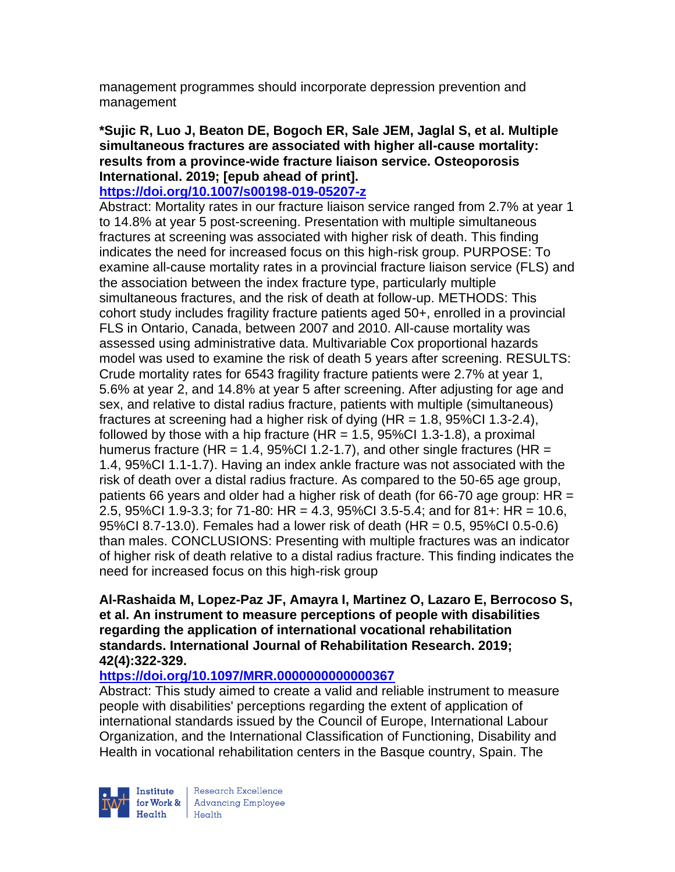management programmes should incorporate depression prevention and management

**\*Sujic R, Luo J, Beaton DE, Bogoch ER, Sale JEM, Jaglal S, et al. Multiple simultaneous fractures are associated with higher all-cause mortality: results from a province-wide fracture liaison service. Osteoporosis International. 2019; [epub ahead of print].**

#### **<https://doi.org/10.1007/s00198-019-05207-z>**

Abstract: Mortality rates in our fracture liaison service ranged from 2.7% at year 1 to 14.8% at year 5 post-screening. Presentation with multiple simultaneous fractures at screening was associated with higher risk of death. This finding indicates the need for increased focus on this high-risk group. PURPOSE: To examine all-cause mortality rates in a provincial fracture liaison service (FLS) and the association between the index fracture type, particularly multiple simultaneous fractures, and the risk of death at follow-up. METHODS: This cohort study includes fragility fracture patients aged 50+, enrolled in a provincial FLS in Ontario, Canada, between 2007 and 2010. All-cause mortality was assessed using administrative data. Multivariable Cox proportional hazards model was used to examine the risk of death 5 years after screening. RESULTS: Crude mortality rates for 6543 fragility fracture patients were 2.7% at year 1, 5.6% at year 2, and 14.8% at year 5 after screening. After adjusting for age and sex, and relative to distal radius fracture, patients with multiple (simultaneous) fractures at screening had a higher risk of dying  $(HR = 1.8, 95\% CI 1.3-2.4)$ , followed by those with a hip fracture (HR  $=$  1.5, 95%Cl 1.3-1.8), a proximal humerus fracture (HR = 1.4, 95%CI 1.2-1.7), and other single fractures (HR = 1.4, 95%CI 1.1-1.7). Having an index ankle fracture was not associated with the risk of death over a distal radius fracture. As compared to the 50-65 age group, patients 66 years and older had a higher risk of death (for 66-70 age group: HR = 2.5, 95%CI 1.9-3.3; for 71-80: HR = 4.3, 95%CI 3.5-5.4; and for 81+: HR = 10.6, 95%CI 8.7-13.0). Females had a lower risk of death (HR = 0.5, 95%CI 0.5-0.6) than males. CONCLUSIONS: Presenting with multiple fractures was an indicator of higher risk of death relative to a distal radius fracture. This finding indicates the need for increased focus on this high-risk group

#### **Al-Rashaida M, Lopez-Paz JF, Amayra I, Martinez O, Lazaro E, Berrocoso S, et al. An instrument to measure perceptions of people with disabilities regarding the application of international vocational rehabilitation standards. International Journal of Rehabilitation Research. 2019; 42(4):322-329.**

## **<https://doi.org/10.1097/MRR.0000000000000367>**

Abstract: This study aimed to create a valid and reliable instrument to measure people with disabilities' perceptions regarding the extent of application of international standards issued by the Council of Europe, International Labour Organization, and the International Classification of Functioning, Disability and Health in vocational rehabilitation centers in the Basque country, Spain. The

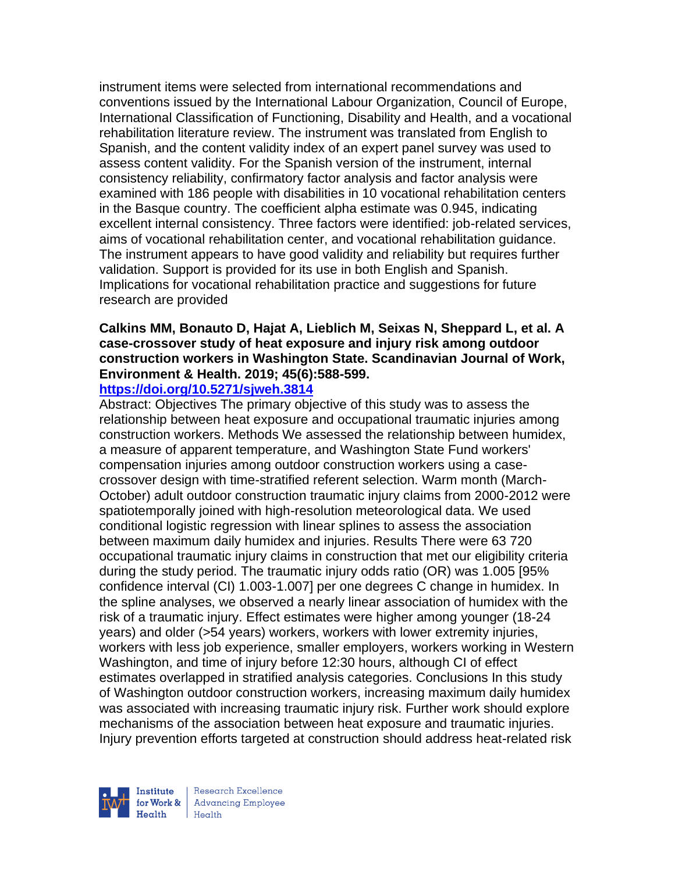instrument items were selected from international recommendations and conventions issued by the International Labour Organization, Council of Europe, International Classification of Functioning, Disability and Health, and a vocational rehabilitation literature review. The instrument was translated from English to Spanish, and the content validity index of an expert panel survey was used to assess content validity. For the Spanish version of the instrument, internal consistency reliability, confirmatory factor analysis and factor analysis were examined with 186 people with disabilities in 10 vocational rehabilitation centers in the Basque country. The coefficient alpha estimate was 0.945, indicating excellent internal consistency. Three factors were identified: job-related services, aims of vocational rehabilitation center, and vocational rehabilitation guidance. The instrument appears to have good validity and reliability but requires further validation. Support is provided for its use in both English and Spanish. Implications for vocational rehabilitation practice and suggestions for future research are provided

#### **Calkins MM, Bonauto D, Hajat A, Lieblich M, Seixas N, Sheppard L, et al. A case-crossover study of heat exposure and injury risk among outdoor construction workers in Washington State. Scandinavian Journal of Work, Environment & Health. 2019; 45(6):588-599.**

#### **<https://doi.org/10.5271/sjweh.3814>**

Abstract: Objectives The primary objective of this study was to assess the relationship between heat exposure and occupational traumatic injuries among construction workers. Methods We assessed the relationship between humidex, a measure of apparent temperature, and Washington State Fund workers' compensation injuries among outdoor construction workers using a casecrossover design with time-stratified referent selection. Warm month (March-October) adult outdoor construction traumatic injury claims from 2000-2012 were spatiotemporally joined with high-resolution meteorological data. We used conditional logistic regression with linear splines to assess the association between maximum daily humidex and injuries. Results There were 63 720 occupational traumatic injury claims in construction that met our eligibility criteria during the study period. The traumatic injury odds ratio (OR) was 1.005 [95% confidence interval (CI) 1.003-1.007] per one degrees C change in humidex. In the spline analyses, we observed a nearly linear association of humidex with the risk of a traumatic injury. Effect estimates were higher among younger (18-24 years) and older (>54 years) workers, workers with lower extremity injuries, workers with less job experience, smaller employers, workers working in Western Washington, and time of injury before 12:30 hours, although CI of effect estimates overlapped in stratified analysis categories. Conclusions In this study of Washington outdoor construction workers, increasing maximum daily humidex was associated with increasing traumatic injury risk. Further work should explore mechanisms of the association between heat exposure and traumatic injuries. Injury prevention efforts targeted at construction should address heat-related risk



Research Excellence for Work & | Advancing Employee Health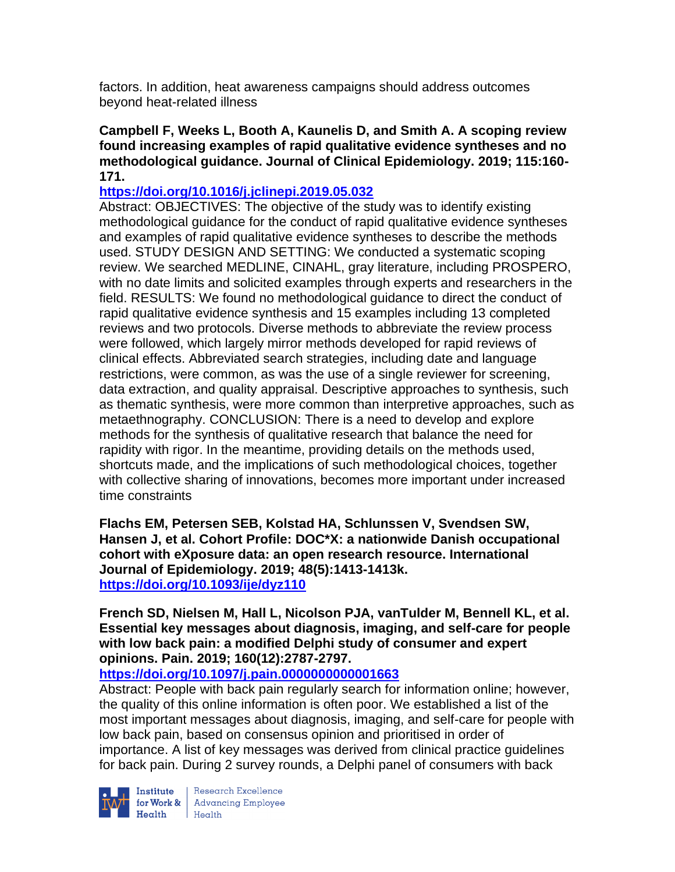factors. In addition, heat awareness campaigns should address outcomes beyond heat-related illness

#### **Campbell F, Weeks L, Booth A, Kaunelis D, and Smith A. A scoping review found increasing examples of rapid qualitative evidence syntheses and no methodological guidance. Journal of Clinical Epidemiology. 2019; 115:160- 171.**

## **<https://doi.org/10.1016/j.jclinepi.2019.05.032>**

Abstract: OBJECTIVES: The objective of the study was to identify existing methodological guidance for the conduct of rapid qualitative evidence syntheses and examples of rapid qualitative evidence syntheses to describe the methods used. STUDY DESIGN AND SETTING: We conducted a systematic scoping review. We searched MEDLINE, CINAHL, gray literature, including PROSPERO, with no date limits and solicited examples through experts and researchers in the field. RESULTS: We found no methodological guidance to direct the conduct of rapid qualitative evidence synthesis and 15 examples including 13 completed reviews and two protocols. Diverse methods to abbreviate the review process were followed, which largely mirror methods developed for rapid reviews of clinical effects. Abbreviated search strategies, including date and language restrictions, were common, as was the use of a single reviewer for screening, data extraction, and quality appraisal. Descriptive approaches to synthesis, such as thematic synthesis, were more common than interpretive approaches, such as metaethnography. CONCLUSION: There is a need to develop and explore methods for the synthesis of qualitative research that balance the need for rapidity with rigor. In the meantime, providing details on the methods used, shortcuts made, and the implications of such methodological choices, together with collective sharing of innovations, becomes more important under increased time constraints

**Flachs EM, Petersen SEB, Kolstad HA, Schlunssen V, Svendsen SW, Hansen J, et al. Cohort Profile: DOC\*X: a nationwide Danish occupational cohort with eXposure data: an open research resource. International Journal of Epidemiology. 2019; 48(5):1413-1413k. <https://doi.org/10.1093/ije/dyz110>** 

#### **French SD, Nielsen M, Hall L, Nicolson PJA, vanTulder M, Bennell KL, et al. Essential key messages about diagnosis, imaging, and self-care for people with low back pain: a modified Delphi study of consumer and expert opinions. Pain. 2019; 160(12):2787-2797.**

## **<https://doi.org/10.1097/j.pain.0000000000001663>**

Abstract: People with back pain regularly search for information online; however, the quality of this online information is often poor. We established a list of the most important messages about diagnosis, imaging, and self-care for people with low back pain, based on consensus opinion and prioritised in order of importance. A list of key messages was derived from clinical practice guidelines for back pain. During 2 survey rounds, a Delphi panel of consumers with back



Institute Research Excellence<br>
for Work & Advancing Employee<br>
Health Health Health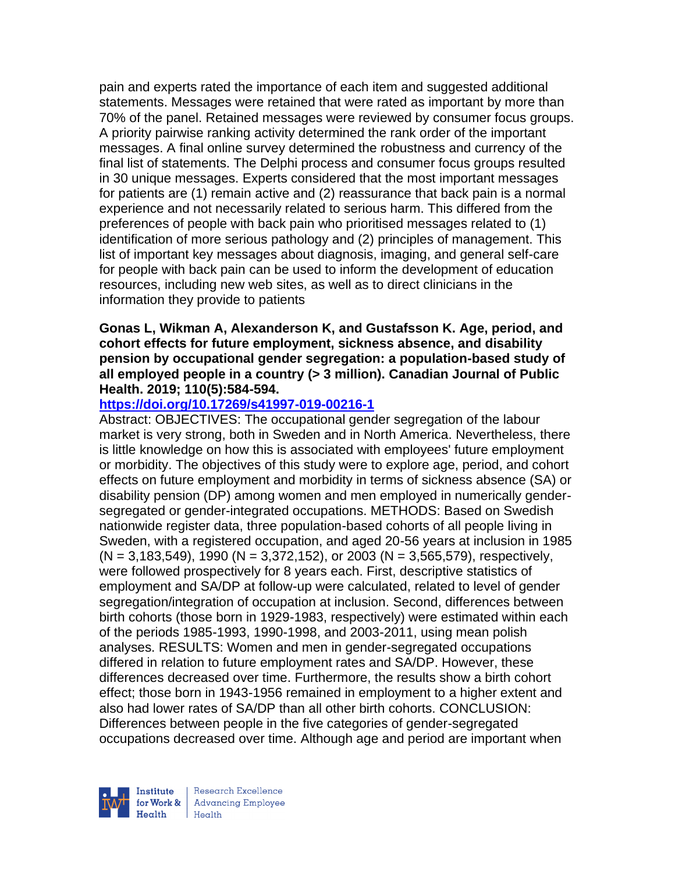pain and experts rated the importance of each item and suggested additional statements. Messages were retained that were rated as important by more than 70% of the panel. Retained messages were reviewed by consumer focus groups. A priority pairwise ranking activity determined the rank order of the important messages. A final online survey determined the robustness and currency of the final list of statements. The Delphi process and consumer focus groups resulted in 30 unique messages. Experts considered that the most important messages for patients are (1) remain active and (2) reassurance that back pain is a normal experience and not necessarily related to serious harm. This differed from the preferences of people with back pain who prioritised messages related to (1) identification of more serious pathology and (2) principles of management. This list of important key messages about diagnosis, imaging, and general self-care for people with back pain can be used to inform the development of education resources, including new web sites, as well as to direct clinicians in the information they provide to patients

#### **Gonas L, Wikman A, Alexanderson K, and Gustafsson K. Age, period, and cohort effects for future employment, sickness absence, and disability pension by occupational gender segregation: a population-based study of all employed people in a country (> 3 million). Canadian Journal of Public Health. 2019; 110(5):584-594.**

### **<https://doi.org/10.17269/s41997-019-00216-1>**

Abstract: OBJECTIVES: The occupational gender segregation of the labour market is very strong, both in Sweden and in North America. Nevertheless, there is little knowledge on how this is associated with employees' future employment or morbidity. The objectives of this study were to explore age, period, and cohort effects on future employment and morbidity in terms of sickness absence (SA) or disability pension (DP) among women and men employed in numerically gendersegregated or gender-integrated occupations. METHODS: Based on Swedish nationwide register data, three population-based cohorts of all people living in Sweden, with a registered occupation, and aged 20-56 years at inclusion in 1985  $(N = 3,183,549)$ , 1990 (N = 3,372,152), or 2003 (N = 3,565,579), respectively, were followed prospectively for 8 years each. First, descriptive statistics of employment and SA/DP at follow-up were calculated, related to level of gender segregation/integration of occupation at inclusion. Second, differences between birth cohorts (those born in 1929-1983, respectively) were estimated within each of the periods 1985-1993, 1990-1998, and 2003-2011, using mean polish analyses. RESULTS: Women and men in gender-segregated occupations differed in relation to future employment rates and SA/DP. However, these differences decreased over time. Furthermore, the results show a birth cohort effect; those born in 1943-1956 remained in employment to a higher extent and also had lower rates of SA/DP than all other birth cohorts. CONCLUSION: Differences between people in the five categories of gender-segregated occupations decreased over time. Although age and period are important when

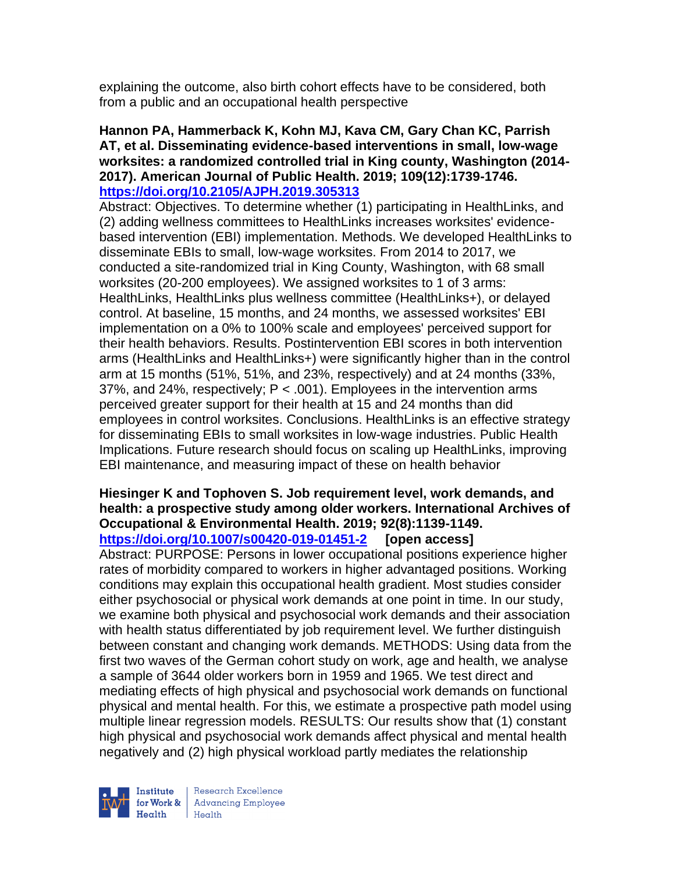explaining the outcome, also birth cohort effects have to be considered, both from a public and an occupational health perspective

#### **Hannon PA, Hammerback K, Kohn MJ, Kava CM, Gary Chan KC, Parrish AT, et al. Disseminating evidence-based interventions in small, low-wage worksites: a randomized controlled trial in King county, Washington (2014- 2017). American Journal of Public Health. 2019; 109(12):1739-1746. <https://doi.org/10.2105/AJPH.2019.305313>**

Abstract: Objectives. To determine whether (1) participating in HealthLinks, and (2) adding wellness committees to HealthLinks increases worksites' evidencebased intervention (EBI) implementation. Methods. We developed HealthLinks to disseminate EBIs to small, low-wage worksites. From 2014 to 2017, we conducted a site-randomized trial in King County, Washington, with 68 small worksites (20-200 employees). We assigned worksites to 1 of 3 arms: HealthLinks, HealthLinks plus wellness committee (HealthLinks+), or delayed control. At baseline, 15 months, and 24 months, we assessed worksites' EBI implementation on a 0% to 100% scale and employees' perceived support for their health behaviors. Results. Postintervention EBI scores in both intervention arms (HealthLinks and HealthLinks+) were significantly higher than in the control arm at 15 months (51%, 51%, and 23%, respectively) and at 24 months (33%, 37%, and 24%, respectively;  $P < .001$ ). Employees in the intervention arms perceived greater support for their health at 15 and 24 months than did employees in control worksites. Conclusions. HealthLinks is an effective strategy for disseminating EBIs to small worksites in low-wage industries. Public Health Implications. Future research should focus on scaling up HealthLinks, improving EBI maintenance, and measuring impact of these on health behavior

### **Hiesinger K and Tophoven S. Job requirement level, work demands, and health: a prospective study among older workers. International Archives of Occupational & Environmental Health. 2019; 92(8):1139-1149. <https://doi.org/10.1007/s00420-019-01451-2> [open access]**

Abstract: PURPOSE: Persons in lower occupational positions experience higher rates of morbidity compared to workers in higher advantaged positions. Working conditions may explain this occupational health gradient. Most studies consider either psychosocial or physical work demands at one point in time. In our study, we examine both physical and psychosocial work demands and their association with health status differentiated by job requirement level. We further distinguish between constant and changing work demands. METHODS: Using data from the first two waves of the German cohort study on work, age and health, we analyse a sample of 3644 older workers born in 1959 and 1965. We test direct and mediating effects of high physical and psychosocial work demands on functional physical and mental health. For this, we estimate a prospective path model using multiple linear regression models. RESULTS: Our results show that (1) constant high physical and psychosocial work demands affect physical and mental health negatively and (2) high physical workload partly mediates the relationship



Research Excellence **Advancing Employee** Health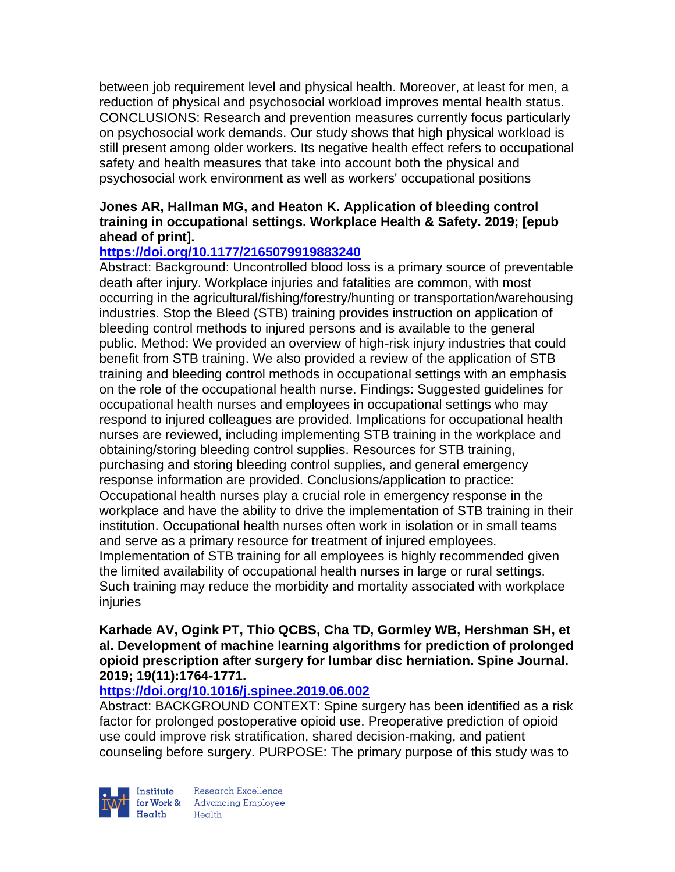between job requirement level and physical health. Moreover, at least for men, a reduction of physical and psychosocial workload improves mental health status. CONCLUSIONS: Research and prevention measures currently focus particularly on psychosocial work demands. Our study shows that high physical workload is still present among older workers. Its negative health effect refers to occupational safety and health measures that take into account both the physical and psychosocial work environment as well as workers' occupational positions

#### **Jones AR, Hallman MG, and Heaton K. Application of bleeding control training in occupational settings. Workplace Health & Safety. 2019; [epub ahead of print].**

## **<https://doi.org/10.1177/2165079919883240>**

Abstract: Background: Uncontrolled blood loss is a primary source of preventable death after injury. Workplace injuries and fatalities are common, with most occurring in the agricultural/fishing/forestry/hunting or transportation/warehousing industries. Stop the Bleed (STB) training provides instruction on application of bleeding control methods to injured persons and is available to the general public. Method: We provided an overview of high-risk injury industries that could benefit from STB training. We also provided a review of the application of STB training and bleeding control methods in occupational settings with an emphasis on the role of the occupational health nurse. Findings: Suggested guidelines for occupational health nurses and employees in occupational settings who may respond to injured colleagues are provided. Implications for occupational health nurses are reviewed, including implementing STB training in the workplace and obtaining/storing bleeding control supplies. Resources for STB training, purchasing and storing bleeding control supplies, and general emergency response information are provided. Conclusions/application to practice: Occupational health nurses play a crucial role in emergency response in the workplace and have the ability to drive the implementation of STB training in their institution. Occupational health nurses often work in isolation or in small teams and serve as a primary resource for treatment of injured employees. Implementation of STB training for all employees is highly recommended given the limited availability of occupational health nurses in large or rural settings. Such training may reduce the morbidity and mortality associated with workplace injuries

#### **Karhade AV, Ogink PT, Thio QCBS, Cha TD, Gormley WB, Hershman SH, et al. Development of machine learning algorithms for prediction of prolonged opioid prescription after surgery for lumbar disc herniation. Spine Journal. 2019; 19(11):1764-1771.**

## **<https://doi.org/10.1016/j.spinee.2019.06.002>**

Abstract: BACKGROUND CONTEXT: Spine surgery has been identified as a risk factor for prolonged postoperative opioid use. Preoperative prediction of opioid use could improve risk stratification, shared decision-making, and patient counseling before surgery. PURPOSE: The primary purpose of this study was to



Research Excellence for Work & | Advancing Employee  $Heath$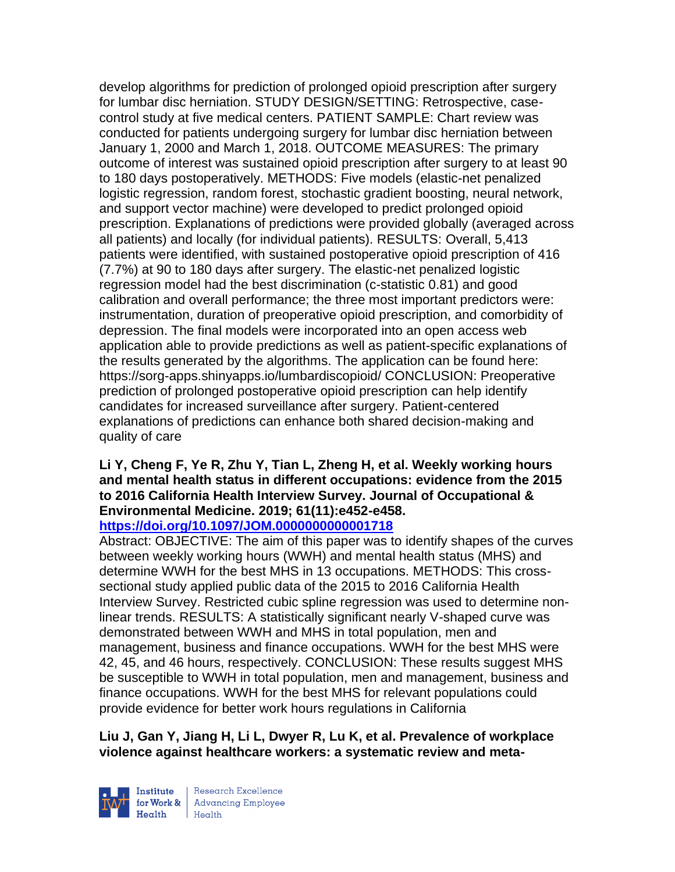develop algorithms for prediction of prolonged opioid prescription after surgery for lumbar disc herniation. STUDY DESIGN/SETTING: Retrospective, casecontrol study at five medical centers. PATIENT SAMPLE: Chart review was conducted for patients undergoing surgery for lumbar disc herniation between January 1, 2000 and March 1, 2018. OUTCOME MEASURES: The primary outcome of interest was sustained opioid prescription after surgery to at least 90 to 180 days postoperatively. METHODS: Five models (elastic-net penalized logistic regression, random forest, stochastic gradient boosting, neural network, and support vector machine) were developed to predict prolonged opioid prescription. Explanations of predictions were provided globally (averaged across all patients) and locally (for individual patients). RESULTS: Overall, 5,413 patients were identified, with sustained postoperative opioid prescription of 416 (7.7%) at 90 to 180 days after surgery. The elastic-net penalized logistic regression model had the best discrimination (c-statistic 0.81) and good calibration and overall performance; the three most important predictors were: instrumentation, duration of preoperative opioid prescription, and comorbidity of depression. The final models were incorporated into an open access web application able to provide predictions as well as patient-specific explanations of the results generated by the algorithms. The application can be found here: https://sorg-apps.shinyapps.io/lumbardiscopioid/ CONCLUSION: Preoperative prediction of prolonged postoperative opioid prescription can help identify candidates for increased surveillance after surgery. Patient-centered explanations of predictions can enhance both shared decision-making and quality of care

#### **Li Y, Cheng F, Ye R, Zhu Y, Tian L, Zheng H, et al. Weekly working hours and mental health status in different occupations: evidence from the 2015 to 2016 California Health Interview Survey. Journal of Occupational & Environmental Medicine. 2019; 61(11):e452-e458. <https://doi.org/10.1097/JOM.0000000000001718>**

Abstract: OBJECTIVE: The aim of this paper was to identify shapes of the curves between weekly working hours (WWH) and mental health status (MHS) and determine WWH for the best MHS in 13 occupations. METHODS: This crosssectional study applied public data of the 2015 to 2016 California Health Interview Survey. Restricted cubic spline regression was used to determine nonlinear trends. RESULTS: A statistically significant nearly V-shaped curve was demonstrated between WWH and MHS in total population, men and management, business and finance occupations. WWH for the best MHS were 42, 45, and 46 hours, respectively. CONCLUSION: These results suggest MHS be susceptible to WWH in total population, men and management, business and finance occupations. WWH for the best MHS for relevant populations could provide evidence for better work hours regulations in California

#### **Liu J, Gan Y, Jiang H, Li L, Dwyer R, Lu K, et al. Prevalence of workplace violence against healthcare workers: a systematic review and meta-**



Research Excellence for Work & | Advancing Employee Health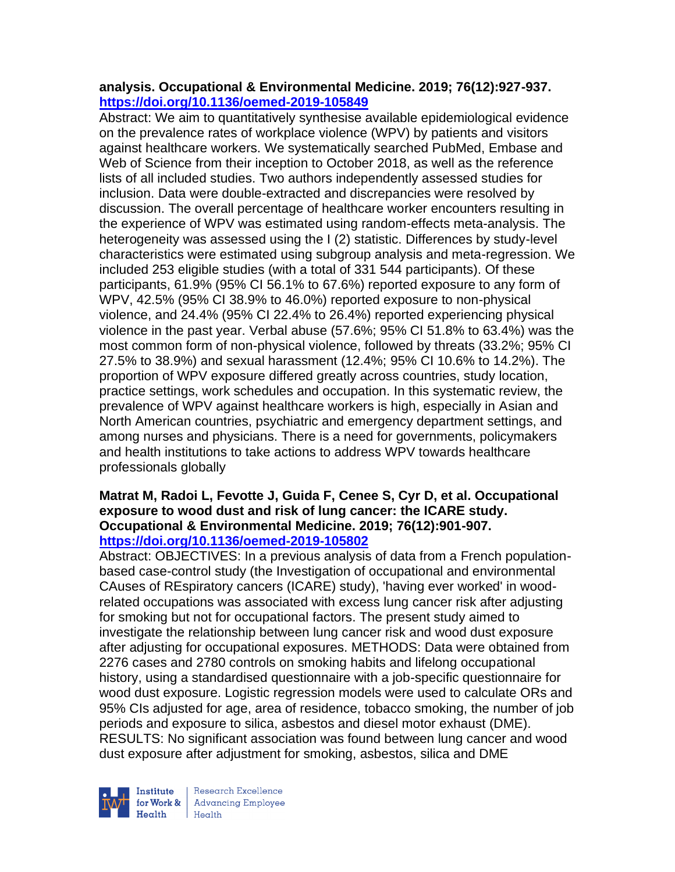#### **analysis. Occupational & Environmental Medicine. 2019; 76(12):927-937. <https://doi.org/10.1136/oemed-2019-105849>**

Abstract: We aim to quantitatively synthesise available epidemiological evidence on the prevalence rates of workplace violence (WPV) by patients and visitors against healthcare workers. We systematically searched PubMed, Embase and Web of Science from their inception to October 2018, as well as the reference lists of all included studies. Two authors independently assessed studies for inclusion. Data were double-extracted and discrepancies were resolved by discussion. The overall percentage of healthcare worker encounters resulting in the experience of WPV was estimated using random-effects meta-analysis. The heterogeneity was assessed using the I (2) statistic. Differences by study-level characteristics were estimated using subgroup analysis and meta-regression. We included 253 eligible studies (with a total of 331 544 participants). Of these participants, 61.9% (95% CI 56.1% to 67.6%) reported exposure to any form of WPV, 42.5% (95% CI 38.9% to 46.0%) reported exposure to non-physical violence, and 24.4% (95% CI 22.4% to 26.4%) reported experiencing physical violence in the past year. Verbal abuse (57.6%; 95% CI 51.8% to 63.4%) was the most common form of non-physical violence, followed by threats (33.2%; 95% CI 27.5% to 38.9%) and sexual harassment (12.4%; 95% CI 10.6% to 14.2%). The proportion of WPV exposure differed greatly across countries, study location, practice settings, work schedules and occupation. In this systematic review, the prevalence of WPV against healthcare workers is high, especially in Asian and North American countries, psychiatric and emergency department settings, and among nurses and physicians. There is a need for governments, policymakers and health institutions to take actions to address WPV towards healthcare professionals globally

#### **Matrat M, Radoi L, Fevotte J, Guida F, Cenee S, Cyr D, et al. Occupational exposure to wood dust and risk of lung cancer: the ICARE study. Occupational & Environmental Medicine. 2019; 76(12):901-907. <https://doi.org/10.1136/oemed-2019-105802>**

Abstract: OBJECTIVES: In a previous analysis of data from a French populationbased case-control study (the Investigation of occupational and environmental CAuses of REspiratory cancers (ICARE) study), 'having ever worked' in woodrelated occupations was associated with excess lung cancer risk after adjusting for smoking but not for occupational factors. The present study aimed to investigate the relationship between lung cancer risk and wood dust exposure after adjusting for occupational exposures. METHODS: Data were obtained from 2276 cases and 2780 controls on smoking habits and lifelong occupational history, using a standardised questionnaire with a job-specific questionnaire for wood dust exposure. Logistic regression models were used to calculate ORs and 95% CIs adjusted for age, area of residence, tobacco smoking, the number of job periods and exposure to silica, asbestos and diesel motor exhaust (DME). RESULTS: No significant association was found between lung cancer and wood dust exposure after adjustment for smoking, asbestos, silica and DME



Research Excellence for Work & | Advancing Employee  $H_{\text{each}}$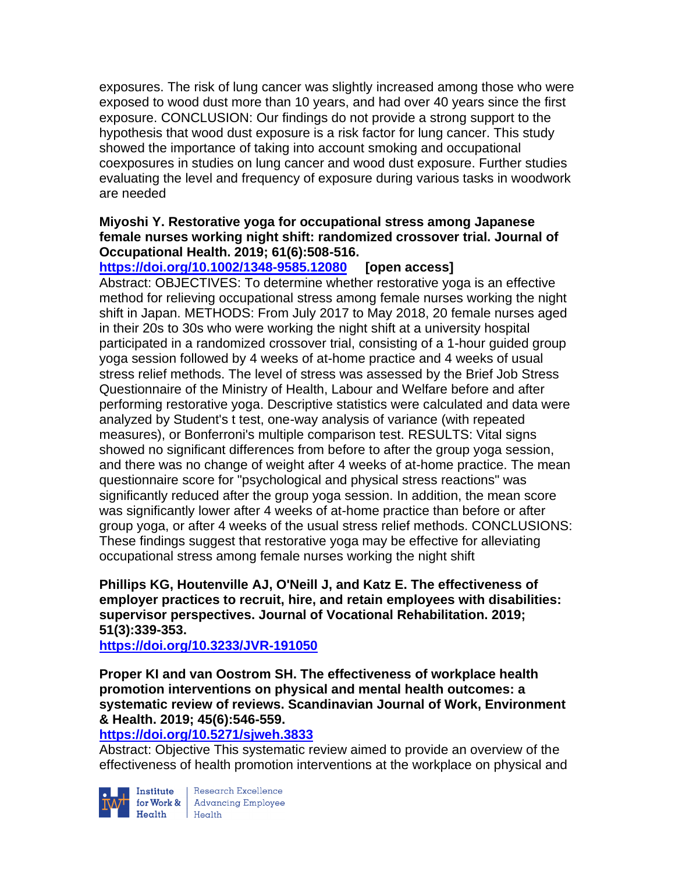exposures. The risk of lung cancer was slightly increased among those who were exposed to wood dust more than 10 years, and had over 40 years since the first exposure. CONCLUSION: Our findings do not provide a strong support to the hypothesis that wood dust exposure is a risk factor for lung cancer. This study showed the importance of taking into account smoking and occupational coexposures in studies on lung cancer and wood dust exposure. Further studies evaluating the level and frequency of exposure during various tasks in woodwork are needed

### **Miyoshi Y. Restorative yoga for occupational stress among Japanese female nurses working night shift: randomized crossover trial. Journal of Occupational Health. 2019; 61(6):508-516.**

### **<https://doi.org/10.1002/1348-9585.12080> [open access]**

Abstract: OBJECTIVES: To determine whether restorative yoga is an effective method for relieving occupational stress among female nurses working the night shift in Japan. METHODS: From July 2017 to May 2018, 20 female nurses aged in their 20s to 30s who were working the night shift at a university hospital participated in a randomized crossover trial, consisting of a 1-hour guided group yoga session followed by 4 weeks of at-home practice and 4 weeks of usual stress relief methods. The level of stress was assessed by the Brief Job Stress Questionnaire of the Ministry of Health, Labour and Welfare before and after performing restorative yoga. Descriptive statistics were calculated and data were analyzed by Student's t test, one-way analysis of variance (with repeated measures), or Bonferroni's multiple comparison test. RESULTS: Vital signs showed no significant differences from before to after the group yoga session, and there was no change of weight after 4 weeks of at-home practice. The mean questionnaire score for "psychological and physical stress reactions" was significantly reduced after the group yoga session. In addition, the mean score was significantly lower after 4 weeks of at-home practice than before or after group yoga, or after 4 weeks of the usual stress relief methods. CONCLUSIONS: These findings suggest that restorative yoga may be effective for alleviating occupational stress among female nurses working the night shift

**Phillips KG, Houtenville AJ, O'Neill J, and Katz E. The effectiveness of employer practices to recruit, hire, and retain employees with disabilities: supervisor perspectives. Journal of Vocational Rehabilitation. 2019; 51(3):339-353.** 

**<https://doi.org/10.3233/JVR-191050>** 

**Proper KI and van Oostrom SH. The effectiveness of workplace health promotion interventions on physical and mental health outcomes: a systematic review of reviews. Scandinavian Journal of Work, Environment & Health. 2019; 45(6):546-559.** 

## **<https://doi.org/10.5271/sjweh.3833>**

Abstract: Objective This systematic review aimed to provide an overview of the effectiveness of health promotion interventions at the workplace on physical and



Institute Research Excellence<br>
for Work & Advancing Employee<br>
Health Health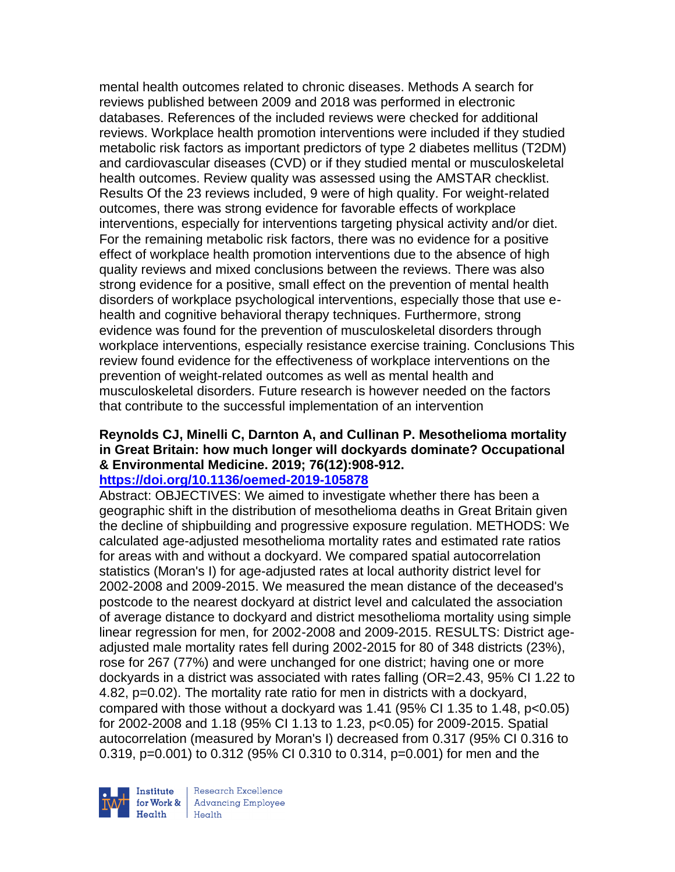mental health outcomes related to chronic diseases. Methods A search for reviews published between 2009 and 2018 was performed in electronic databases. References of the included reviews were checked for additional reviews. Workplace health promotion interventions were included if they studied metabolic risk factors as important predictors of type 2 diabetes mellitus (T2DM) and cardiovascular diseases (CVD) or if they studied mental or musculoskeletal health outcomes. Review quality was assessed using the AMSTAR checklist. Results Of the 23 reviews included, 9 were of high quality. For weight-related outcomes, there was strong evidence for favorable effects of workplace interventions, especially for interventions targeting physical activity and/or diet. For the remaining metabolic risk factors, there was no evidence for a positive effect of workplace health promotion interventions due to the absence of high quality reviews and mixed conclusions between the reviews. There was also strong evidence for a positive, small effect on the prevention of mental health disorders of workplace psychological interventions, especially those that use ehealth and cognitive behavioral therapy techniques. Furthermore, strong evidence was found for the prevention of musculoskeletal disorders through workplace interventions, especially resistance exercise training. Conclusions This review found evidence for the effectiveness of workplace interventions on the prevention of weight-related outcomes as well as mental health and musculoskeletal disorders. Future research is however needed on the factors that contribute to the successful implementation of an intervention

# **Reynolds CJ, Minelli C, Darnton A, and Cullinan P. Mesothelioma mortality in Great Britain: how much longer will dockyards dominate? Occupational & Environmental Medicine. 2019; 76(12):908-912.**

#### **<https://doi.org/10.1136/oemed-2019-105878>**

Abstract: OBJECTIVES: We aimed to investigate whether there has been a geographic shift in the distribution of mesothelioma deaths in Great Britain given the decline of shipbuilding and progressive exposure regulation. METHODS: We calculated age-adjusted mesothelioma mortality rates and estimated rate ratios for areas with and without a dockyard. We compared spatial autocorrelation statistics (Moran's I) for age-adjusted rates at local authority district level for 2002-2008 and 2009-2015. We measured the mean distance of the deceased's postcode to the nearest dockyard at district level and calculated the association of average distance to dockyard and district mesothelioma mortality using simple linear regression for men, for 2002-2008 and 2009-2015. RESULTS: District ageadjusted male mortality rates fell during 2002-2015 for 80 of 348 districts (23%), rose for 267 (77%) and were unchanged for one district; having one or more dockyards in a district was associated with rates falling (OR=2.43, 95% CI 1.22 to 4.82, p=0.02). The mortality rate ratio for men in districts with a dockyard, compared with those without a dockyard was 1.41 (95% CI 1.35 to 1.48,  $p<0.05$ ) for 2002-2008 and 1.18 (95% CI 1.13 to 1.23, p<0.05) for 2009-2015. Spatial autocorrelation (measured by Moran's I) decreased from 0.317 (95% CI 0.316 to 0.319, p=0.001) to 0.312 (95% CI 0.310 to 0.314, p=0.001) for men and the

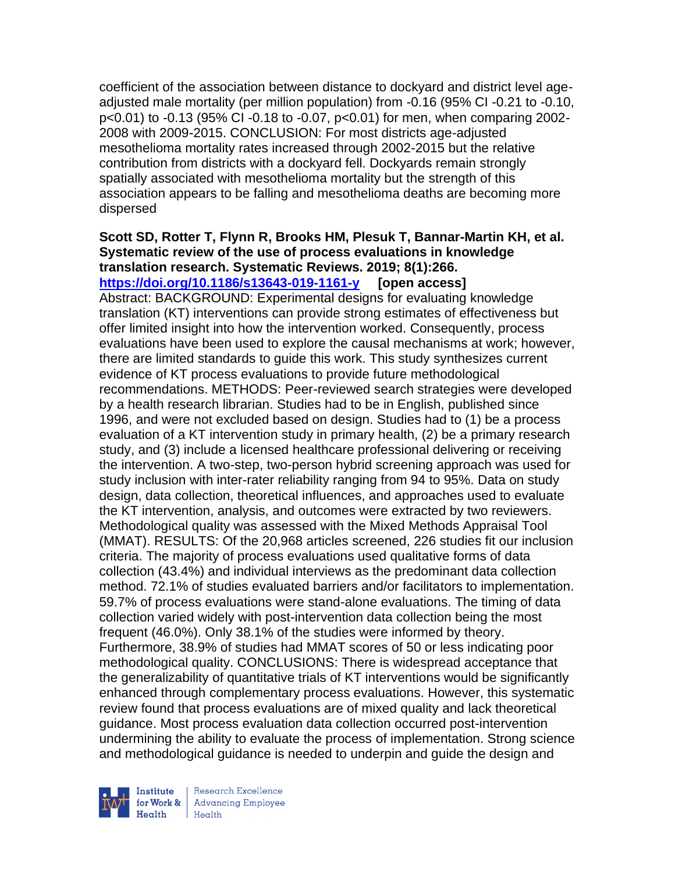coefficient of the association between distance to dockyard and district level ageadjusted male mortality (per million population) from -0.16 (95% CI -0.21 to -0.10, p<0.01) to -0.13 (95% CI -0.18 to -0.07, p<0.01) for men, when comparing 2002- 2008 with 2009-2015. CONCLUSION: For most districts age-adjusted mesothelioma mortality rates increased through 2002-2015 but the relative contribution from districts with a dockyard fell. Dockyards remain strongly spatially associated with mesothelioma mortality but the strength of this association appears to be falling and mesothelioma deaths are becoming more dispersed

#### **Scott SD, Rotter T, Flynn R, Brooks HM, Plesuk T, Bannar-Martin KH, et al. Systematic review of the use of process evaluations in knowledge translation research. Systematic Reviews. 2019; 8(1):266. <https://doi.org/10.1186/s13643-019-1161-y> [open access]**

Abstract: BACKGROUND: Experimental designs for evaluating knowledge translation (KT) interventions can provide strong estimates of effectiveness but offer limited insight into how the intervention worked. Consequently, process evaluations have been used to explore the causal mechanisms at work; however, there are limited standards to guide this work. This study synthesizes current evidence of KT process evaluations to provide future methodological recommendations. METHODS: Peer-reviewed search strategies were developed by a health research librarian. Studies had to be in English, published since 1996, and were not excluded based on design. Studies had to (1) be a process evaluation of a KT intervention study in primary health, (2) be a primary research study, and (3) include a licensed healthcare professional delivering or receiving the intervention. A two-step, two-person hybrid screening approach was used for study inclusion with inter-rater reliability ranging from 94 to 95%. Data on study design, data collection, theoretical influences, and approaches used to evaluate the KT intervention, analysis, and outcomes were extracted by two reviewers. Methodological quality was assessed with the Mixed Methods Appraisal Tool (MMAT). RESULTS: Of the 20,968 articles screened, 226 studies fit our inclusion criteria. The majority of process evaluations used qualitative forms of data collection (43.4%) and individual interviews as the predominant data collection method. 72.1% of studies evaluated barriers and/or facilitators to implementation. 59.7% of process evaluations were stand-alone evaluations. The timing of data collection varied widely with post-intervention data collection being the most frequent (46.0%). Only 38.1% of the studies were informed by theory. Furthermore, 38.9% of studies had MMAT scores of 50 or less indicating poor methodological quality. CONCLUSIONS: There is widespread acceptance that the generalizability of quantitative trials of KT interventions would be significantly enhanced through complementary process evaluations. However, this systematic review found that process evaluations are of mixed quality and lack theoretical guidance. Most process evaluation data collection occurred post-intervention undermining the ability to evaluate the process of implementation. Strong science and methodological guidance is needed to underpin and guide the design and



Research Excellence for Work & | Advancing Employee Health